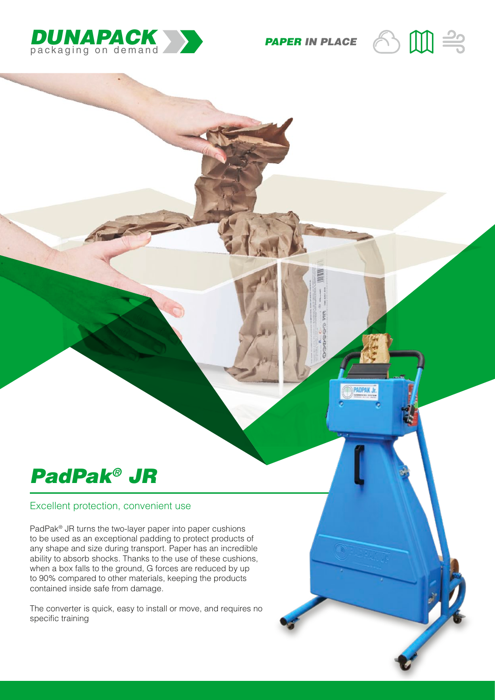

*PAPER IN PLACE*



## *PadPak® JR*

## Excellent protection, convenient use

PadPak® JR turns the two-layer paper into paper cushions to be used as an exceptional padding to protect products of any shape and size during transport. Paper has an incredible ability to absorb shocks. Thanks to the use of these cushions, when a box falls to the ground, G forces are reduced by up to 90% compared to other materials, keeping the products contained inside safe from damage.

The converter is quick, easy to install or move, and requires no specific training